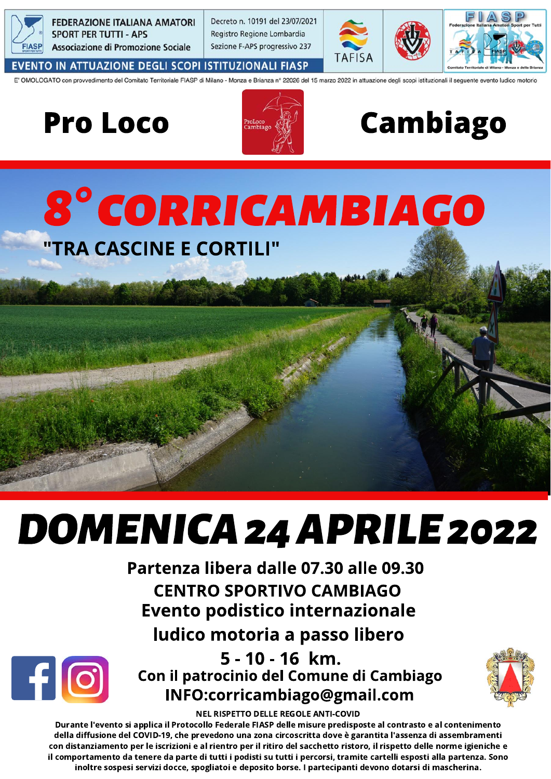

**FEDERAZIONE ITALIANA AMATORI SPORT PER TUTTI - APS** Associazione di Promozione Sociale

Decreto n. 10191 del 23/07/2021 Registro Regione Lombardia Sezione F-APS progressivo 237



EVENTO IN ATTUAZIONE DEGLI SCOPI ISTITUZIONALI FIASP

E' OMOLOGATO con provvedimento del Comitato Territoriale FIASP di Milano - Monza e Brianza nº 22026 del 15 marzo 2022 in attuazione degli scopi istituzionali il seguente evento ludico motorio

Pro Loco



## **Cambiago**

### 8° CORRICAMBIAGO "TRA CASCINE E CORTILI"

# **DOMENICA 24 APRILE 2022**

Partenza libera dalle 07.30 alle 09.30 **CENTRO SPORTIVO CAMBIAGO Evento podistico internazionale** 





5 - 10 - 16 km. Con il patrocinio del Comune di Cambiago INFO:corricambiago@gmail.com



**NEL RISPETTO DELLE REGOLE ANTI-COVID** 

Durante l'evento si applica il Protocollo Federale FIASP delle misure predisposte al contrasto e al contenimento della diffusione del COVID-19, che prevedono una zona circoscritta dove è garantita l'assenza di assembramenti con distanziamento per le iscrizioni e al rientro per il ritiro del sacchetto ristoro, il rispetto delle norme igieniche e il comportamento da tenere da parte di tutti i podisti su tutti i percorsi, tramite cartelli esposti alla partenza. Sono inoltre sospesi servizi docce, spogliatoi e deposito borse. I partecipanti devono dotarsi di mascherina.